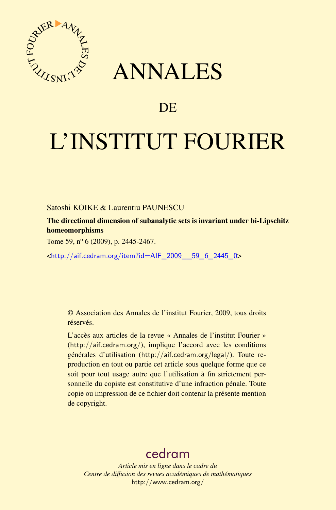

## ANNALES

## **DE**

# L'INSTITUT FOURIER

Satoshi KOIKE & Laurentiu PAUNESCU

The directional dimension of subanalytic sets is invariant under bi-Lipschitz homeomorphisms

Tome 59,  $n^{\circ}$  6 (2009), p. 2445-2467.

<[http://aif.cedram.org/item?id=AIF\\_2009\\_\\_59\\_6\\_2445\\_0](http://aif.cedram.org/item?id=AIF_2009__59_6_2445_0)>

© Association des Annales de l'institut Fourier, 2009, tous droits réservés.

L'accès aux articles de la revue « Annales de l'institut Fourier » (<http://aif.cedram.org/>), implique l'accord avec les conditions générales d'utilisation (<http://aif.cedram.org/legal/>). Toute reproduction en tout ou partie cet article sous quelque forme que ce soit pour tout usage autre que l'utilisation à fin strictement personnelle du copiste est constitutive d'une infraction pénale. Toute copie ou impression de ce fichier doit contenir la présente mention de copyright.

## [cedram](http://www.cedram.org/)

*Article mis en ligne dans le cadre du Centre de diffusion des revues académiques de mathématiques* <http://www.cedram.org/>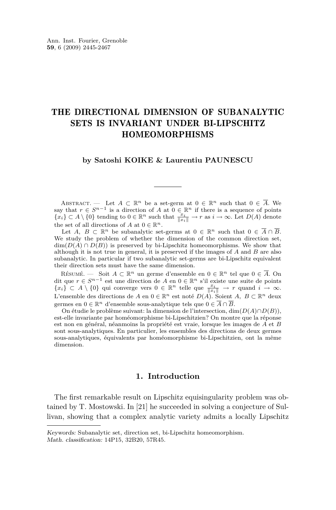### THE DIRECTIONAL DIMENSION OF SUBANALYTIC SETS IS INVARIANT UNDER BI-LIPSCHITZ HOMEOMORPHISMS

#### **by Satoshi KOIKE & Laurentiu PAUNESCU**

ABSTRACT. — Let  $A \subset \mathbb{R}^n$  be a set-germ at  $0 \in \mathbb{R}^n$  such that  $0 \in \overline{A}$ . We say that  $r \in S^{n-1}$  is a direction of *A* at  $0 \in \mathbb{R}^n$  if there is a sequence of points  $\{x_i\} \subset A \setminus \{0\}$  tending to  $0 \in \mathbb{R}^n$  such that  $\frac{x_i}{\|x_i\|} \to r$  as  $i \to \infty$ . Let  $D(A)$  denote the set of all directions of *A* at  $0 \in \mathbb{R}^n$ .

Let *A*,  $B \subset \mathbb{R}^n$  be subanalytic set-germs at  $0 \in \mathbb{R}^n$  such that  $0 \in \overline{A} \cap \overline{B}$ . We study the problem of whether the dimension of the common direction set,  $\dim(D(A) \cap D(B))$  is preserved by bi-Lipschitz homeomorphisms. We show that although it is not true in general, it is preserved if the images of *A* and *B* are also subanalytic. In particular if two subanalytic set-germs are bi-Lipschitz equivalent their direction sets must have the same dimension.

RÉSUMÉ. — Soit  $A \subset \mathbb{R}^n$  un germe d'ensemble en  $0 \in \mathbb{R}^n$  tel que  $0 \in \overline{A}$ . On dit que *r ∈ S <sup>n</sup>−*<sup>1</sup> est une direction de *A* en 0 *∈* R*<sup>n</sup>* s'il existe une suite de points *{x*<sub>*i*</sub>**}** ⊂ *A*  $\setminus$  {0} qui converge vers 0 ∈ R<sup>*n*</sup> telle que  $\frac{x_i}{\|x_i\|}$  → *r* quand *i* → ∞. L'ensemble des directions de *A* en  $0 \in \mathbb{R}^n$  est noté  $D(A)$ . Soient *A, B* ⊂  $\mathbb{R}^n$  deux germes en  $0 \in \mathbb{R}^n$  d'ensemble sous-analytique tels que  $0 \in \overline{A} \cap \overline{B}$ .

On étudie le problème suivant: la dimension de l'intersection, dim(*D*(*A*)*∩D*(*B*)), est-elle invariante par homéomorphisme bi-Lipschitzien? On montre que la réponse est non en général, néanmoins la propriété est vraie, lorsque les images de *A* et *B* sont sous-analytiques. En particulier, les ensembles des directions de deux germes sous-analytiques, équivalents par homéomorphisme bi-Lipschitzien, ont la même dimension.

#### **1. Introduction**

The first remarkable result on Lipschitz equisingularity problem was obtained by T. Mostowski. In [\[21\]](#page-22-0) he succeeded in solving a conjecture of Sullivan, showing that a complex analytic variety admits a locally Lipschitz

Keywords: Subanalytic set, direction set, bi-Lipschitz homeomorphism. Math. classification: 14P15, 32B20, 57R45.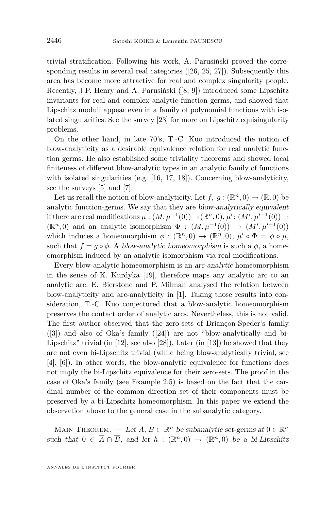trivial stratification. Following his work, A. Parusiński proved the corre-sponding results in several real categories ([\[26,](#page-23-0) [25,](#page-23-0) [27\]](#page-23-0)). Subsequently this area has become more attractive for real and complex singularity people. Recently, J.P. Henry and A. Parusiński ([\[8,](#page-22-0) [9\]](#page-22-0)) introduced some Lipschitz invariants for real and complex analytic function germs, and showed that Lipschitz moduli appear even in a family of polynomial functions with isolated singularities. See the survey [\[23\]](#page-22-0) for more on Lipschitz equisingularity problems.

On the other hand, in late 70's, T.-C. Kuo introduced the notion of blow-analyticity as a desirable equivalence relation for real analytic function germs. He also established some triviality theorems and showed local finiteness of different blow-analytic types in an analytic family of functions with isolated singularities (e.g. [\[16,](#page-22-0) [17,](#page-22-0) [18\]](#page-22-0)). Concerning blow-analyticity, see the surveys [\[5\]](#page-22-0) and [\[7\]](#page-22-0).

Let us recall the notion of blow-analyticity. Let  $f, g : (\mathbb{R}^n, 0) \to (\mathbb{R}, 0)$  be analytic function-germs. We say that they are blow-analytically equivalent if there are real modifications  $\mu : (M, \mu^{-1}(0)) \to (\mathbb{R}^n, 0), \mu' : (M', \mu'^{-1}(0)) \to$  $(\mathbb{R}^n, 0)$  and an analytic isomorphism  $\Phi : (M, \mu^{-1}(0)) \to (M', \mu'^{-1}(0))$ which induces a homeomorphism  $\phi : (\mathbb{R}^n, 0) \to (\mathbb{R}^n, 0), \mu' \circ \Phi = \phi \circ \mu$ , such that  $f = g \circ \phi$ . A blow-analytic homeomorphism is such a  $\phi$ , a homeomorphism induced by an analytic isomorphism via real modifications.

Every blow-analytic homeomorphism is an arc-analytic homeomorphism in the sense of K. Kurdyka [\[19\]](#page-22-0), therefore maps any analytic arc to an analytic arc. E. Bierstone and P. Milman analysed the relation between blow-analyticity and arc-analyticity in [\[1\]](#page-22-0). Taking those results into consideration, T.-C. Kuo conjectured that a blow-analytic homeomorphism preserves the contact order of analytic arcs. Nevertheless, this is not valid. The first author observed that the zero-sets of Briançon-Speder's family ([\[3\]](#page-22-0)) and also of Oka's family ([\[24\]](#page-23-0)) are not "blow-analytically and bi-Lipschitz" trivial (in [\[12\]](#page-22-0), see also [\[28\]](#page-23-0)). Later (in [\[13\]](#page-22-0)) he showed that they are not even bi-Lipschitz trivial (while being blow-analytically trivial, see [\[4\]](#page-22-0), [\[6\]](#page-22-0)). In other words, the blow-analytic equivalence for functions does not imply the bi-Lipschitz equivalence for their zero-sets. The proof in the case of Oka's family (see Example [2.5\)](#page-5-0) is based on the fact that the cardinal number of the common direction set of their components must be preserved by a bi-Lipschitz homeomorphism. In this paper we extend the observation above to the general case in the subanalytic category.

MAIN THEOREM. — Let  $A, B \subset \mathbb{R}^n$  be subanalytic set-germs at  $0 \in \mathbb{R}^n$ such that  $0 \in \overline{A} \cap \overline{B}$ , and let  $h : (\mathbb{R}^n, 0) \to (\mathbb{R}^n, 0)$  be a bi-Lipschitz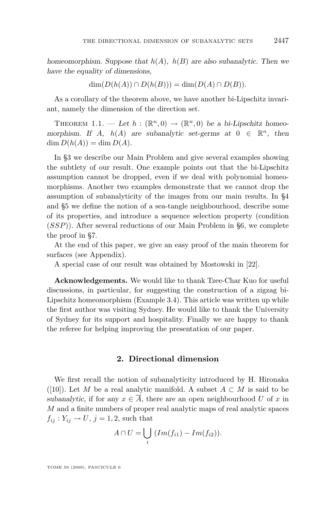<span id="page-3-0"></span>homeomorphism. Suppose that *h*(*A*)*, h*(*B*) are also subanalytic. Then we have the equality of dimensions,

$$
\dim(D(h(A)) \cap D(h(B))) = \dim(D(A) \cap D(B)).
$$

As a corollary of the theorem above, we have another bi-Lipschitz invariant, namely the dimension of the direction set.

THEOREM 1.1. — Let  $h : (\mathbb{R}^n, 0) \to (\mathbb{R}^n, 0)$  be a bi-Lipschitz homeomorphism. If *A*,  $h(A)$  are subanalytic set-germs at  $0 \in \mathbb{R}^n$ , then  $\dim D(h(A)) = \dim D(A).$ 

In §3 we describe our Main Problem and give several examples showing the subtlety of our result. One example points out that the bi-Lipschitz assumption cannot be dropped, even if we deal with polynomial homeomorphisms. Another two examples demonstrate that we cannot drop the assumption of subanalyticity of the images from our main results. In §4 and §5 we define the notion of a sea-tangle neighbourhood, describe some of its properties, and introduce a sequence selection property (condition (*SSP*)). After several reductions of our Main Problem in §6, we complete the proof in §7.

At the end of this paper, we give an easy proof of the main theorem for surfaces (see Appendix).

A special case of our result was obtained by Mostowski in [\[22\]](#page-22-0).

**Acknowledgements.** We would like to thank Tzee-Char Kuo for useful discussions, in particular, for suggesting the construction of a zigzag bi-Lipschitz homeomorphism (Example [3.4\)](#page-7-0). This article was written up while the first author was visiting Sydney. He would like to thank the University of Sydney for its support and hospitality. Finally we are happy to thank the referee for helping improving the presentation of our paper.

#### **2. Directional dimension**

We first recall the notion of subanalyticity introduced by H. Hironaka ([\[10\]](#page-22-0)). Let *M* be a real analytic manifold. A subset  $A \subset M$  is said to be subanalytic, if for any  $x \in \overline{A}$ , there are an open neighbourhood *U* of *x* in *M* and a finite numbers of proper real analytic maps of real analytic spaces  $f_{ij}: Y_{ij} \to U, j = 1, 2$ , such that

$$
A \cap U = \bigcup_i (Im(f_{i1}) - Im(f_{i2})).
$$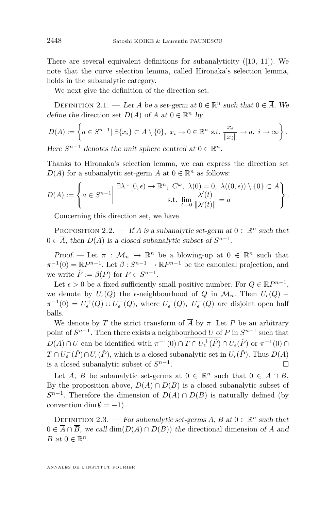There are several equivalent definitions for subanalyticity ([\[10,](#page-22-0) [11\]](#page-22-0)). We note that the curve selection lemma, called Hironaka's selection lemma, holds in the subanalytic category.

We next give the definition of the direction set.

DEFINITION 2.1. — Let *A* be a set-germ at  $0 \in \mathbb{R}^n$  such that  $0 \in \overline{A}$ . We define the direction set  $D(A)$  of  $A$  at  $0 \in \mathbb{R}^n$  by

$$
D(A) := \left\{ a \in S^{n-1} | \; \exists \{x_i\} \subset A \setminus \{0\}, \; x_i \to 0 \in \mathbb{R}^n \; s.t. \; \frac{x_i}{\|x_i\|} \to a, \; i \to \infty \right\}.
$$

Here  $S^{n-1}$  denotes the unit sphere centred at  $0 \in \mathbb{R}^n$ .

Thanks to Hironaka's selection lemma, we can express the direction set  $D(A)$  for a subanalytic set-germ *A* at  $0 \in \mathbb{R}^n$  as follows:

$$
D(A) := \left\{ a \in S^{n-1} \middle| \begin{array}{c} \exists \lambda : [0, \epsilon) \to \mathbb{R}^n, \ C^{\omega}, \ \lambda(0) = 0, \ \lambda((0, \epsilon)) \setminus \{0\} \subset A \\ \text{s.t. } \lim_{t \to 0} \frac{\lambda'(t)}{\|\lambda'(t)\|} = a \end{array} \right\}.
$$

Concerning this direction set, we have

PROPOSITION 2.2. — If *A* is a subanalytic set-germ at  $0 \in \mathbb{R}^n$  such that  $0 \in \overline{A}$ , then  $D(A)$  is a closed subanalytic subset of  $S^{n-1}$ .

Proof. — Let  $\pi$  :  $\mathcal{M}_n$   $\rightarrow \mathbb{R}^n$  be a blowing-up at  $0 \in \mathbb{R}^n$  such that  $\pi^{-1}(0) = \mathbb{R}P^{n-1}$ . Let  $\beta: S^{n-1} \to \mathbb{R}P^{n-1}$  be the canonical projection, and we write  $\hat{P} := \beta(P)$  for  $P \in S^{n-1}$ .

Let  $\epsilon > 0$  be a fixed sufficiently small positive number. For  $Q \in \mathbb{R}P^{n-1}$ , we denote by  $U_{\epsilon}(Q)$  the  $\epsilon$ -neighbourhood of  $Q$  in  $\mathcal{M}_n$ . Then  $U_{\epsilon}(Q)$  –  $\pi^{-1}(0) = U_{\epsilon}^+(Q) \cup U_{\epsilon}^-(Q)$ , where  $U_{\epsilon}^+(Q)$ ,  $U_{\epsilon}^-(Q)$  are disjoint open half balls.

We denote by *T* the strict transform of  $\overline{A}$  by  $\pi$ . Let *P* be an arbitrary point of  $S^{n-1}$ . Then there exists a neighbourhood *U* of *P* in  $S^{n-1}$  such that  $D(A) \cap U$  can be identified with  $\pi^{-1}(0) \cap T \cap U_{\epsilon}^{+}(\hat{P}) \cap U_{\epsilon}(\hat{P})$  or  $\pi^{-1}(0) \cap$  $T \cap U_{\epsilon}^{-}(\hat{P}) \cap U_{\epsilon}(\hat{P})$ , which is a closed subanalytic set in  $U_{\epsilon}(\hat{P})$ . Thus  $D(A)$ is a closed subanalytic subset of *S n−*1 . В последните поставите на примерение и производите на примерение в последните поставите на примерение и при<br>В поставите поставите на примерение и примерение и примерение и примерение и примерение и примерение и примере

Let *A*, *B* be subanalytic set-germs at  $0 \in \mathbb{R}^n$  such that  $0 \in \overline{A} \cap \overline{B}$ . By the proposition above,  $D(A) \cap D(B)$  is a closed subanalytic subset of  $S^{n-1}$ . Therefore the dimension of  $D(A) \cap D(B)$  is naturally defined (by convention dim  $\emptyset = -1$ ).

DEFINITION 2.3. — For subanalytic set-germs  $A, B$  at  $0 \in \mathbb{R}^n$  such that  $0 \in \overline{A} \cap \overline{B}$ , we call  $\dim(D(A) \cap D(B))$  the directional dimension of *A* and *B* at  $0 \in \mathbb{R}^n$ .

<span id="page-4-0"></span>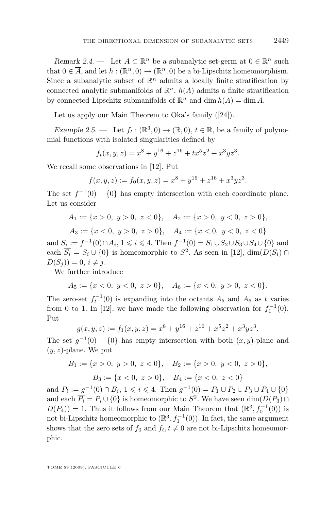<span id="page-5-0"></span>Remark 2.4. — Let  $A \subset \mathbb{R}^n$  be a subanalytic set-germ at  $0 \in \mathbb{R}^n$  such that  $0 \in \overline{A}$ , and let  $h : (\mathbb{R}^n, 0) \to (\mathbb{R}^n, 0)$  be a bi-Lipschitz homeomorphism. Since a subanalytic subset of  $\mathbb{R}^n$  admits a locally finite stratification by connected analytic submanifolds of  $\mathbb{R}^n$ ,  $h(A)$  admits a finite stratification by connected Lipschitz submanifolds of  $\mathbb{R}^n$  and  $\dim h(A) = \dim A$ .

Let us apply our Main Theorem to Oka's family ([\[24\]](#page-23-0)).

Example 2.5. — Let  $f_t : (\mathbb{R}^3, 0) \to (\mathbb{R}, 0), t \in \mathbb{R}$ , be a family of polynomial functions with isolated singularities defined by

$$
f_t(x, y, z) = x^8 + y^{16} + z^{16} + tx^5z^2 + x^3yz^3.
$$

We recall some observations in [\[12\]](#page-22-0). Put

$$
f(x, y, z) := f_0(x, y, z) = x^8 + y^{16} + z^{16} + x^3yz^3.
$$

The set  $f^{-1}(0) - \{0\}$  has empty intersection with each coordinate plane. Let us consider

$$
A_1 := \{x > 0, y > 0, z < 0\}, \quad A_2 := \{x > 0, y < 0, z > 0\},
$$
  

$$
A_3 := \{x < 0, y > 0, z > 0\}, \quad A_4 := \{x < 0, y < 0, z < 0\}
$$

and  $S_i := f^{-1}(0) \cap A_i$ ,  $1 \leq i \leq 4$ . Then  $f^{-1}(0) = S_1 \cup S_2 \cup S_3 \cup S_4 \cup \{0\}$  and each  $\overline{S_i} = S_i \cup \{0\}$  is homeomorphic to  $S^2$ . As seen in [\[12\]](#page-22-0),  $\dim(D(S_i) \cap$  $D(S_i) = 0, i \neq j.$ 

We further introduce

$$
A_5 := \{x < 0, \ y < 0, \ z > 0\}, \quad A_6 := \{x < 0, \ y > 0, \ z < 0\}.
$$

The zero-set  $f_t^{-1}(0)$  is expanding into the octants  $A_5$  and  $A_6$  as  $t$  varies from 0 to 1. In [\[12\]](#page-22-0), we have made the following observation for  $f_1^{-1}(0)$ . Put

$$
g(x, y, z) := f_1(x, y, z) = x^8 + y^{16} + z^{16} + x^5 z^2 + x^3 y z^3.
$$

The set  $g^{-1}(0) - \{0\}$  has empty intersection with both  $(x, y)$ -plane and (*y, z*)-plane. We put

$$
B_1 := \{x > 0, y > 0, z < 0\}, B_2 := \{x > 0, y < 0, z > 0\},
$$
  

$$
B_3 := \{x < 0, z > 0\}, B_4 := \{x < 0, z < 0\}
$$

and  $P_i := g^{-1}(0) \cap B_i$ ,  $1 \leq i \leq 4$ . Then  $g^{-1}(0) = P_1 \cup P_2 \cup P_3 \cup P_4 \cup \{0\}$ and each  $\overline{P_i} = P_i \cup \{0\}$  is homeomorphic to  $S^2$ . We have seen  $\dim(D(P_3) \cap$  $D(P_4)$  = 1. Thus it follows from our Main Theorem that  $(\mathbb{R}^3, f_0^{-1}(0))$  is not bi-Lipschitz homeomorphic to  $(\mathbb{R}^3, f_1^{-1}(0))$ . In fact, the same argument shows that the zero sets of  $f_0$  and  $f_t, t \neq 0$  are not bi-Lipschitz homeomorphic.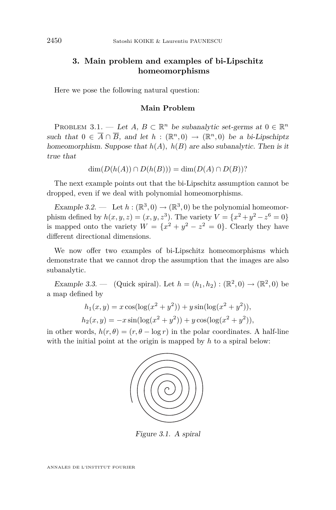#### <span id="page-6-0"></span>**3. Main problem and examples of bi-Lipschitz homeomorphisms**

Here we pose the following natural question:

#### **Main Problem**

PROBLEM 3.1. — Let  $A, B \subset \mathbb{R}^n$  be subanalytic set-germs at  $0 \in \mathbb{R}^n$ such that  $0 \in \overline{A} \cap \overline{B}$ , and let  $h : (\mathbb{R}^n, 0) \to (\mathbb{R}^n, 0)$  be a bi-Lipschiptz homeomorphism. Suppose that  $h(A)$ ,  $h(B)$  are also subanalytic. Then is it true that

$$
\dim(D(h(A)) \cap D(h(B))) = \dim(D(A) \cap D(B))?
$$

The next example points out that the bi-Lipschitz assumption cannot be dropped, even if we deal with polynomial homeomorphisms.

Example 3.2. — Let  $h : (\mathbb{R}^3, 0) \to (\mathbb{R}^3, 0)$  be the polynomial homeomorphism defined by  $h(x, y, z) = (x, y, z^3)$ . The variety  $V = \{x^2 + y^2 - z^6 = 0\}$ is mapped onto the variety  $W = \{x^2 + y^2 - z^2 = 0\}$ . Clearly they have different directional dimensions.

We now offer two examples of bi-Lipschitz homeomorphisms which demonstrate that we cannot drop the assumption that the images are also subanalytic.

Example 3.3. — (Quick spiral). Let  $h = (h_1, h_2) : (\mathbb{R}^2, 0) \to (\mathbb{R}^2, 0)$  be a map defined by

$$
h_1(x, y) = x \cos(\log(x^2 + y^2)) + y \sin(\log(x^2 + y^2)),
$$
  
\n
$$
h_2(x, y) = -x \sin(\log(x^2 + y^2)) + y \cos(\log(x^2 + y^2)),
$$

in other words,  $h(r, \theta) = (r, \theta - \log r)$  in the polar coordinates. A half-line with the initial point at the origin is mapped by *h* to a spiral below:



Figure 3.1. A spiral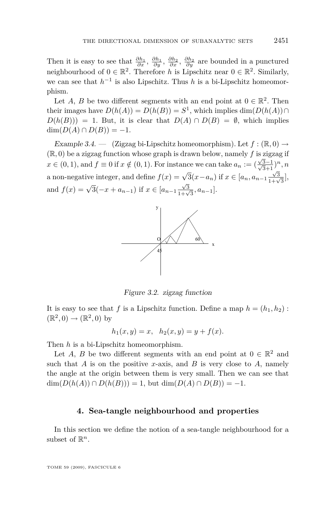<span id="page-7-0"></span>Then it is easy to see that  $\frac{\partial h_1}{\partial x}$ ,  $\frac{\partial h_1}{\partial y}$ ,  $\frac{\partial h_2}{\partial x}$ ,  $\frac{\partial h_2}{\partial y}$  are bounded in a punctured neighbourhood of  $0 \in \mathbb{R}^2$ . Therefore *h* is Lipschitz near  $0 \in \mathbb{R}^2$ . Similarly, we can see that  $h^{-1}$  is also Lipschitz. Thus *h* is a bi-Lipschitz homeomorphism.

Let *A*, *B* be two different segments with an end point at  $0 \in \mathbb{R}^2$ . Then their images have  $D(h(A)) = D(h(B)) = S^1$ , which implies dim $(D(h(A))) \cap$  $D(h(B)) = 1$ . But, it is clear that  $D(A) \cap D(B) = \emptyset$ , which implies  $dim(D(A) \cap D(B)) = -1.$ 

Example 3.4.  $\leftarrow$  (Zigzag bi-Lipschitz homeomorphism). Let  $f : (\mathbb{R}, 0) \rightarrow$ (R*,* 0) be a zigzag function whose graph is drawn below, namely *f* is zigzag if *√*  $x \in (0, 1)$ , and  $f \equiv 0$  if  $x \notin (0, 1)$ . For instance we can take  $a_n := (\frac{\sqrt{3}-1}{\sqrt{3}+1})^n$ , *n* a non-negative integer, and define  $f(x) = \sqrt{3}(x - a_n)$  if  $x \in [a_n, a_{n-1} \frac{\sqrt{3}}{1+\sqrt{3}}]$ , and  $f(x) = \sqrt{3}(-x + a_{n-1})$  if  $x \in [a_{n-1} \frac{\sqrt{3}}{1+\sqrt{3}}, a_{n-1}]$ .



Figure 3.2. zigzag function

It is easy to see that *f* is a Lipschitz function. Define a map  $h = (h_1, h_2)$ :  $(\mathbb{R}^2, 0) \rightarrow (\mathbb{R}^2, 0)$  by

$$
h_1(x, y) = x
$$
,  $h_2(x, y) = y + f(x)$ .

Then *h* is a bi-Lipschitz homeomorphism.

Let *A*, *B* be two different segments with an end point at  $0 \in \mathbb{R}^2$  and such that  $A$  is on the positive *x*-axis, and  $B$  is very close to  $A$ , namely the angle at the origin between them is very small. Then we can see that dim( $D(h(A))$  ∩  $D(h(B))$ ) = 1, but dim( $D(A)$  ∩  $D(B)$ ) = −1.

#### **4. Sea-tangle neighbourhood and properties**

In this section we define the notion of a sea-tangle neighbourhood for a subset of  $\mathbb{R}^n$ .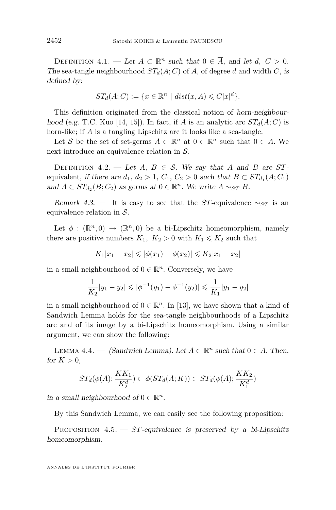<span id="page-8-0"></span>DEFINITION  $4.1.$  — Let  $A \subset \mathbb{R}^n$  such that  $0 \in \overline{A}$ , and let  $d, C > 0$ . The sea-tangle neighbourhood  $ST_d(A; C)$  of A, of degree d and width C, is defined by:

$$
ST_d(A;C) := \{ x \in \mathbb{R}^n \mid dist(x,A) \leq C|x|^d \}.
$$

This definition originated from the classical notion of horn-neighbour-hood (e.g. T.C. Kuo [\[14,](#page-22-0) [15\]](#page-22-0)). In fact, if *A* is an analytic arc  $ST_d(A;C)$  is horn-like; if *A* is a tangling Lipschitz arc it looks like a sea-tangle.

Let *S* be the set of set-germs  $A \subset \mathbb{R}^n$  at  $0 \in \mathbb{R}^n$  such that  $0 \in \overline{A}$ . We next introduce an equivalence relation in *S*.

DEFINITION 4.2. — Let *A*,  $B \in S$ . We say that *A* and *B* are *ST*equivalent, if there are  $d_1$ ,  $d_2 > 1$ ,  $C_1$ ,  $C_2 > 0$  such that  $B \subset ST_{d_1}(A; C_1)$ and  $A \subset ST_{d_2}(B; C_2)$  as germs at  $0 \in \mathbb{R}^n$ . We write  $A \sim_{ST} B$ .

Remark 4.3. — It is easy to see that the *ST*-equivalence  $\sim_{ST}$  is an equivalence relation in *S*.

Let  $\phi : (\mathbb{R}^n, 0) \to (\mathbb{R}^n, 0)$  be a bi-Lipschitz homeomorphism, namely there are positive numbers  $K_1, K_2 > 0$  with  $K_1 \leq K_2$  such that

$$
K_1|x_1 - x_2| \leqslant |\phi(x_1) - \phi(x_2)| \leqslant K_2|x_1 - x_2|
$$

in a small neighbourhood of  $0 \in \mathbb{R}^n$ . Conversely, we have

$$
\frac{1}{K_2}|y_1 - y_2| \leqslant |\phi^{-1}(y_1) - \phi^{-1}(y_2)| \leqslant \frac{1}{K_1}|y_1 - y_2|
$$

in a small neighbourhood of  $0 \in \mathbb{R}^n$ . In [\[13\]](#page-22-0), we have shown that a kind of Sandwich Lemma holds for the sea-tangle neighbourhoods of a Lipschitz arc and of its image by a bi-Lipschitz homeomorphism. Using a similar argument, we can show the following:

LEMMA 4.4. — (Sandwich Lemma). Let  $A \subset \mathbb{R}^n$  such that  $0 \in \overline{A}$ . Then, for  $K > 0$ ,

$$
ST_d(\phi(A); \frac{KK_1}{K_2^d}) \subset \phi(ST_d(A; K)) \subset ST_d(\phi(A); \frac{KK_2}{K_1^d})
$$

in a small neighbourhood of  $0 \in \mathbb{R}^n$ .

By this Sandwich Lemma, we can easily see the following proposition:

PROPOSITION  $4.5.$  - *ST*-equivalence is preserved by a bi-Lipschitz homeomorphism.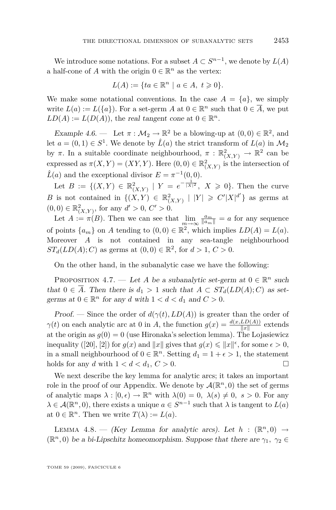<span id="page-9-0"></span>We introduce some notations. For a subset  $A \subset S^{n-1}$ , we denote by  $L(A)$ a half-cone of *A* with the origin  $0 \in \mathbb{R}^n$  as the vertex:

$$
L(A) := \{ ta \in \mathbb{R}^n \mid a \in A, \ t \geq 0 \}.
$$

We make some notational conventions. In the case  $A = \{a\}$ , we simply write  $L(a) := L({a})$ . For a set-germ *A* at  $0 \in \mathbb{R}^n$  such that  $0 \in \overline{A}$ , we put  $LD(A) := L(D(A))$ , the real tangent cone at  $0 \in \mathbb{R}^n$ .

Example 4.6. — Let  $\pi : \mathcal{M}_2 \to \mathbb{R}^2$  be a blowing-up at  $(0,0) \in \mathbb{R}^2$ , and let  $a = (0, 1) \in S^1$ . We denote by  $\hat{L}(a)$  the strict transform of  $L(a)$  in  $\mathcal{M}_2$ by  $\pi$ . In a suitable coordinate neighbourhood,  $\pi$  :  $\mathbb{R}^2_{(X,Y)} \to \mathbb{R}^2$  can be expressed as  $\pi(X, Y) = (XY, Y)$ . Here  $(0, 0) \in \mathbb{R}^2_{(X, Y)}$  is the intersection of  $\hat{L}(a)$  and the exceptional divisor  $E = \pi^{-1}(0,0)$ .

Let  $B := \{ (X, Y) \in \mathbb{R}^2_{(X, Y)} \mid Y = e^{-\frac{1}{|X|^2}}, X \geq 0 \}.$  Then the curve *B* is not contained in  $\{(X, Y) \in \mathbb{R}^2_{(X,Y)} \mid |Y| \geqslant C' |X|^{d'}\}$  as germs at  $(0,0) \in \mathbb{R}^2_{(X,Y)}$ , for any  $d' > 0$ ,  $C' > 0$ .

Let  $A := \pi(B)$ . Then we can see that  $\lim_{m \to \infty} \frac{a_m}{\|a_m\|} = a$  for any sequence of points  $\{a_m\}$  on *A* tending to  $(0,0) \in \mathbb{R}^2$ , which implies  $LD(A) = L(a)$ . Moreover *A* is not contained in any sea-tangle neighbourhood *ST*<sub>*d*</sub>(*LD*(*A*); *C*) as germs at (0, 0)  $\in \mathbb{R}^2$ , for  $d > 1$ ,  $C > 0$ .

On the other hand, in the subanalytic case we have the following:

PROPOSITION 4.7. — Let *A* be a subanalytic set-germ at  $0 \in \mathbb{R}^n$  such that  $0 \in \overline{A}$ . Then there is  $d_1 > 1$  such that  $A \subset ST_d(LD(A); C)$  as setgerms at  $0 \in \mathbb{R}^n$  for any *d* with  $1 < d < d_1$  and  $C > 0$ .

Proof. — Since the order of  $d(\gamma(t), LD(A))$  is greater than the order of *γ*(*t*) on each analytic arc at 0 in *A*, the function  $g(x) = \frac{d(x, LD(A))}{||x||}$  extends at the origin as  $g(0) = 0$  (use Hironaka's selection lemma). The Lojasiewicz inequality ([\[20\]](#page-22-0), [\[2\]](#page-22-0)) for  $g(x)$  and  $||x||$  gives that  $g(x) \le ||x||^{\epsilon}$ , for some  $\epsilon > 0$ , in a small neighbourhood of  $0 \in \mathbb{R}^n$ . Setting  $d_1 = 1 + \epsilon > 1$ , the statement holds for any *d* with  $1 < d < d_1, C > 0$ .

We next describe the key lemma for analytic arcs; it takes an important role in the proof of our Appendix. We denote by  $\mathcal{A}(\mathbb{R}^n,0)$  the set of germs of analytic maps  $\lambda : [0, \epsilon) \to \mathbb{R}^n$  with  $\lambda(0) = 0$ ,  $\lambda(s) \neq 0$ ,  $s > 0$ . For any  $\lambda \in \mathcal{A}(\mathbb{R}^n, 0)$ , there exists a unique  $a \in S^{n-1}$  such that  $\lambda$  is tangent to  $L(a)$ at  $0 \in \mathbb{R}^n$ . Then we write  $T(\lambda) := L(a)$ .

LEMMA 4.8. — (Key Lemma for analytic arcs). Let  $h : (\mathbb{R}^n, 0) \rightarrow$ ( $\mathbb{R}^n$ , 0) be a bi-Lipschitz homeomorphism. Suppose that there are  $\gamma_1$ ,  $\gamma_2 \in$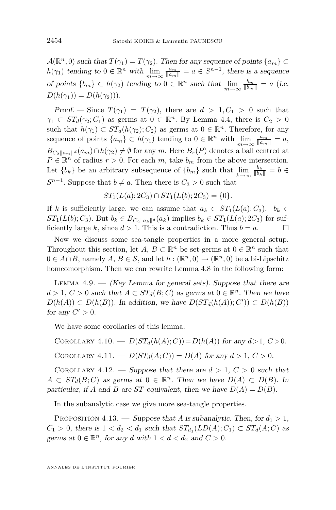<span id="page-10-0"></span> $\mathcal{A}(\mathbb{R}^n,0)$  such that  $T(\gamma_1) = T(\gamma_2)$ . Then for any sequence of points  $\{a_m\} \subset$ *h*( $\gamma_1$ ) tending to  $0 \in \mathbb{R}^n$  with  $\lim_{m \to \infty} \frac{a_m}{\|a_m\|} = a \in S^{n-1}$ , there is a sequence of points  ${b_m} \subset h(\gamma_2)$  tending to  $0 \in \mathbb{R}^n$  such that  $\lim_{m \to \infty} \frac{b_m}{\|b_m\|} = a$  (i.e.  $D(h(\gamma_1)) = D(h(\gamma_2))$ .

Proof. — Since  $T(\gamma_1) = T(\gamma_2)$ , there are  $d > 1, C_1 > 0$  such that  $\gamma_1 \subset ST_d(\gamma_2; C_1)$  as germs at  $0 \in \mathbb{R}^n$ . By Lemma [4.4,](#page-8-0) there is  $C_2 > 0$ such that  $h(\gamma_1) \subset ST_d(h(\gamma_2); C_2)$  as germs at  $0 \in \mathbb{R}^n$ . Therefore, for any sequence of points  $\{a_m\} \subset h(\gamma_1)$  tending to  $0 \in \mathbb{R}^n$  with  $\lim_{m \to \infty} \frac{a_m}{\|a_m\|} = a$ ,  $B_{C_2 \parallel a_m \parallel d}(a_m) \cap h(\gamma_2) \neq \emptyset$  for any *m*. Here  $B_r(P)$  denotes a ball centred at  $P \in \mathbb{R}^n$  of radius  $r > 0$ . For each  $m$ , take  $b_m$  from the above intersection. Let  ${b_k}$  be an arbitrary subsequence of  ${b_m}$  such that  $\lim_{k\to\infty}$  $\frac{b_k}{\|b_k\|} = b$  ∈ *S*<sup>*n*−1</sup>. Suppose that *b*  $\neq$  *a*. Then there is *C*<sub>3</sub> > 0 such that

$$
ST_1(L(a); 2C_3) \cap ST_1(L(b); 2C_3) = \{0\}.
$$

If *k* is sufficiently large, we can assume that  $a_k \in ST_1(L(a); C_3)$ ,  $b_k \in$  $ST_1(L(b); C_3)$ . But  $b_k \in B_{C_2||a_k||^d}(a_k)$  implies  $b_k \in ST_1(L(a); 2C_3)$  for sufficiently large *k*, since  $d > 1$ . This is a contradiction. Thus  $b = a$ .

Now we discuss some sea-tangle properties in a more general setup. Throughout this section, let *A*,  $B \subset \mathbb{R}^n$  be set-germs at  $0 \in \mathbb{R}^n$  such that  $0 \in \overline{A} \cap \overline{B}$ , namely  $A, B \in \mathcal{S}$ , and let  $h : (\mathbb{R}^n, 0) \to (\mathbb{R}^n, 0)$  be a bi-Lipschitz homeomorphism. Then we can rewrite Lemma [4.8](#page-9-0) in the following form:

LEMMA  $4.9. -$  (Key Lemma for general sets). Suppose that there are *d* > 1, *C* > 0 such that *A* ⊂ *ST*<sub>*d*</sub>(*B*; *C*) as germs at 0 ∈  $\mathbb{R}^n$ . Then we have *D*(*h*(*A*)) *⊂ D*(*h*(*B*)). In addition, we have  $D(ST_d(h(A)); C')$ ) *⊂*  $D(h(B))$ for any  $C' > 0$ .

We have some corollaries of this lemma.

COROLLARY 4.10. —  $D(ST_d(h(A); C)) = D(h(A))$  for any  $d > 1, C > 0$ . COROLLARY 4.11. —  $D(ST_d(A; C)) = D(A)$  for any  $d > 1, C > 0$ .

COROLLARY 4.12. — Suppose that there are  $d > 1$ ,  $C > 0$  such that  $A \subset ST_d(B; C)$  as germs at  $0 \in \mathbb{R}^n$ . Then we have  $D(A) \subset D(B)$ . In particular, if *A* and *B* are *ST*-equivalent, then we have  $D(A) = D(B)$ .

In the subanalytic case we give more sea-tangle properties.

PROPOSITION 4.13. — Suppose that *A* is subanalytic. Then, for  $d_1 > 1$ ,  $C_1 > 0$ , there is  $1 < d_2 < d_1$  such that  $ST_{d_1}(LD(A); C_1) \subset ST_d(A; C)$  as germs at  $0 \in \mathbb{R}^n$ , for any *d* with  $1 < d < d_2$  and  $C > 0$ .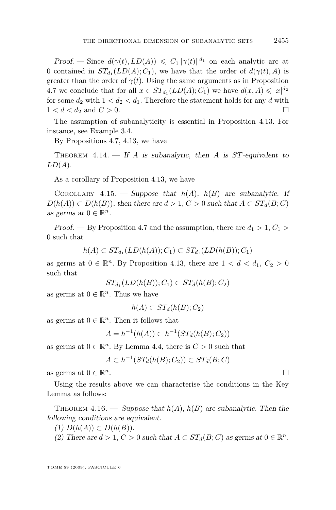<span id="page-11-0"></span>Proof. — Since  $d(\gamma(t), LD(A)) \leq C_1 ||\gamma(t)||^{d_1}$  on each analytic arc at 0 contained in  $ST_{d_1}(LD(A); C_1)$ , we have that the order of  $d(\gamma(t), A)$  is greater than the order of  $\gamma(t)$ . Using the same arguments as in Proposition [4.7](#page-9-0) we conclude that for all  $x \in ST_{d_1}(LD(A); C_1)$  we have  $d(x, A) \leqslant |x|^{d_2}$ for some  $d_2$  with  $1 < d_2 < d_1$ . Therefore the statement holds for any  $d$  with  $1 < d < d_2$  and  $C > 0$ .

The assumption of subanalyticity is essential in Proposition [4.13.](#page-10-0) For instance, see Example [3.4.](#page-7-0)

By Propositions [4.7,](#page-9-0) [4.13,](#page-10-0) we have

THEOREM  $4.14.$  – If *A* is subanalytic, then *A* is *ST*-equivalent to *LD*(*A*).

As a corollary of Proposition [4.13,](#page-10-0) we have

COROLLARY 4.15. — Suppose that  $h(A)$ ,  $h(B)$  are subanalytic. If  $D(h(A)) \subset D(h(B))$ , then there are  $d > 1$ ,  $C > 0$  such that  $A \subset ST_d(B; C)$ as germs at  $0 \in \mathbb{R}^n$ .

Proof. — By Proposition [4.7](#page-9-0) and the assumption, there are  $d_1 > 1, C_1 >$ 0 such that

$$
h(A) \subset ST_{d_1}(LD(h(A)); C_1) \subset ST_{d_1}(LD(h(B)); C_1)
$$

as germs at  $0 \in \mathbb{R}^n$ . By Proposition [4.13,](#page-10-0) there are  $1 < d < d_1$ ,  $C_2 > 0$ such that

$$
ST_{d_1}(LD(h(B)); C_1) \subset ST_d(h(B); C_2)
$$

as germs at  $0 \in \mathbb{R}^n$ . Thus we have

$$
h(A) \subset ST_d(h(B); C_2)
$$

as germs at  $0 \in \mathbb{R}^n$ . Then it follows that

*A* =  $h^{-1}(h(A)) \subset h^{-1}(ST_d(h(B); C_2))$ 

as germs at  $0 \in \mathbb{R}^n$ . By Lemma [4.4,](#page-8-0) there is  $C > 0$  such that

$$
A \subset h^{-1}(ST_d(h(B); C_2)) \subset ST_d(B; C)
$$

as germs at  $0 \in \mathbb{R}^n$ . *<sup>n</sup>*.

Using the results above we can characterise the conditions in the Key Lemma as follows:

THEOREM 4.16. — Suppose that  $h(A)$ ,  $h(B)$  are subanalytic. Then the following conditions are equivalent.

 $(D(h(A)) \subset D(h(B)).$ 

(2) There are  $d > 1, C > 0$  such that  $A \subset ST_d(B; C)$  as germs at  $0 \in \mathbb{R}^n$ .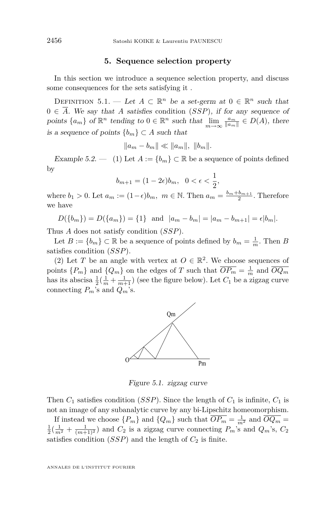#### **5. Sequence selection property**

<span id="page-12-0"></span>In this section we introduce a sequence selection property, and discuss some consequences for the sets satisfying it .

DEFINITION 5.1. — Let  $A \subset \mathbb{R}^n$  be a set-germ at  $0 \in \mathbb{R}^n$  such that  $0 \in \overline{A}$ . We say that A satisfies condition (*SSP*), if for any sequence of points  $\{a_m\}$  of  $\mathbb{R}^n$  tending to  $0 \in \mathbb{R}^n$  such that  $\lim_{m \to \infty} \frac{a_m}{\|a_m\|} \in D(A)$ , there is a sequence of points *{bm} ⊂ A* such that

$$
||a_m - b_m|| \ll ||a_m||, ||b_m||.
$$

Example 5.2. — (1) Let  $A := \{b_m\} \subset \mathbb{R}$  be a sequence of points defined by

$$
b_{m+1} = (1 - 2\epsilon)b_m, \ \ 0 < \epsilon < \frac{1}{2},
$$

where  $b_1 > 0$ . Let  $a_m := (1 - \epsilon)b_m$ ,  $m \in \mathbb{N}$ . Then  $a_m = \frac{b_m + b_{m+1}}{2}$ . Therefore we have

 $D({b_m}) = D({a_m}) = {1}$  and  $|a_m - b_m| = |a_m - b_{m+1}| = \epsilon |b_m|$ .

Thus *A* does not satisfy condition (*SSP*).

Let  $B := \{b_m\} \subset \mathbb{R}$  be a sequence of points defined by  $b_m = \frac{1}{m}$ . Then  $B$ satisfies condition (*SSP*).

(2) Let *T* be an angle with vertex at  $O \in \mathbb{R}^2$ . We choose sequences of points  ${P_m}$  and  ${Q_m}$  on the edges of *T* such that  $\overline{OP_m} = \frac{1}{m}$  and  $\overline{OQ_m}$ has its abscisa  $\frac{1}{2}(\frac{1}{m} + \frac{1}{m+1})$  (see the figure below). Let  $C_1$  be a zigzag curve connecting  $P_m$ 's and  $Q_m$ 's.



Figure 5.1. zigzag curve

Then  $C_1$  satisfies condition (*SSP*). Since the length of  $C_1$  is infinite,  $C_1$  is not an image of any subanalytic curve by any bi-Lipschitz homeomorphism.

If instead we choose  $\{P_m\}$  and  $\{Q_m\}$  such that  $\overline{OP_m} = \frac{1}{m^2}$  and  $\overline{OQ_m} =$  $\frac{1}{2}(\frac{1}{m^2} + \frac{1}{(m+1)^2})$  and  $C_2$  is a zigzag curve connecting  $P_m$ 's and  $Q_m$ 's,  $C_2$ satisfies condition  $(SSP)$  and the length of  $C_2$  is finite.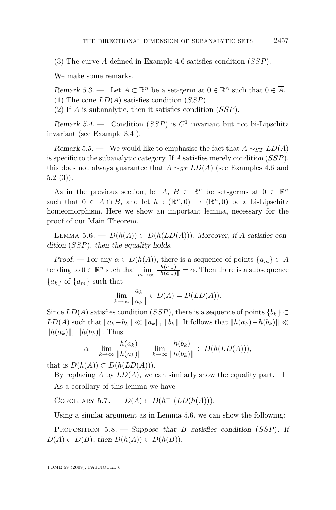(3) The curve *A* defined in Example [4.6](#page-9-0) satisfies condition (*SSP*).

We make some remarks.

Remark 5.3. — Let  $A \subset \mathbb{R}^n$  be a set-germ at  $0 \in \mathbb{R}^n$  such that  $0 \in \overline{A}$ . (1) The cone *LD*(*A*) satisfies condition (*SSP*).

(2) If *A* is subanalytic, then it satisfies condition (*SSP*).

Remark 5.4. — Condition  $(SSP)$  is  $C<sup>1</sup>$  invariant but not bi-Lipschitz invariant (see Example [3.4](#page-7-0) ).

Remark 5.5. — We would like to emphasise the fact that  $A \sim_{ST} LD(A)$ is specific to the subanalytic category. If *A* satisfies merely condition (*SSP*), this does not always guarantee that  $A \sim_{ST} LD(A)$  (see Examples [4.6](#page-9-0) and  $5.2(3)$  $5.2(3)$ .

As in the previous section, let  $A, B \subset \mathbb{R}^n$  be set-germs at  $0 \in \mathbb{R}^n$ such that  $0 \in \overline{A} \cap \overline{B}$ , and let  $h : (\mathbb{R}^n, 0) \to (\mathbb{R}^n, 0)$  be a bi-Lipschitz homeomorphism. Here we show an important lemma, necessary for the proof of our Main Theorem.

Lemma 5.6. — *D*(*h*(*A*)) *⊂ D*(*h*(*LD*(*A*)))*.* Moreover, if *A* satisfies condition (*SSP*), then the equality holds.

Proof. — For any  $\alpha \in D(h(A))$ , there is a sequence of points  $\{a_m\} \subset A$ tending to  $0 \in \mathbb{R}^n$  such that  $\lim_{m \to \infty} \frac{h(a_m)}{\|h(a_m)\|} = \alpha$ . Then there is a subsequence  ${a_k}$  of  ${a_m}$  such that

$$
\lim_{k \to \infty} \frac{a_k}{\|a_k\|} \in D(A) = D(LD(A)).
$$

Since  $LD(A)$  satisfies condition (*SSP*), there is a sequence of points  ${b_k} \subset$  $LD(A)$  such that  $||a_k-b_k|| \ll ||a_k||$ ,  $||b_k||$ . It follows that  $||h(a_k)-h(b_k)|| \ll$  $||h(a_k)||, ||h(b_k)||.$  Thus

$$
\alpha = \lim_{k \to \infty} \frac{h(a_k)}{\|h(a_k)\|} = \lim_{k \to \infty} \frac{h(b_k)}{\|h(b_k)\|} \in D(h(LD(A))),
$$

that is  $D(h(A)) \subset D(h(LD(A))).$ 

By replacing *A* by  $LD(A)$ , we can similarly show the equality part.  $\square$ As a corollary of this lemma we have

COROLLARY 5.7. —  $D(A) \subset D(h^{-1}(LD(h(A))).$ 

Using a similar argument as in Lemma 5.6, we can show the following:

Proposition 5.8. — Suppose that *B* satisfies condition (*SSP*). If *D*(*A*)  $\subset$  *D*(*B*), then *D*(*h*(*A*))  $\subset$  *D*(*h*(*B*)).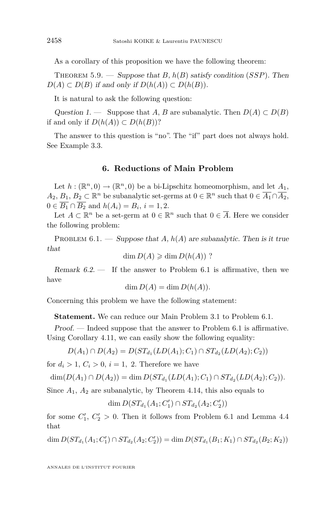<span id="page-14-0"></span>As a corollary of this proposition we have the following theorem:

THEOREM 5.9. — Suppose that *B*,  $h(B)$  satisfy condition (*SSP*). Then  $D(A) \subset D(B)$  if and only if  $D(h(A)) \subset D(h(B)).$ 

It is natural to ask the following question:

Question 1. — Suppose that *A*, *B* are subanalytic. Then  $D(A) \subset D(B)$ if and only if  $D(h(A)) \subset D(h(B))$ ?

The answer to this question is "no". The "if" part does not always hold. See Example [3.3.](#page-6-0)

#### **6. Reductions of Main Problem**

Let  $h: (\mathbb{R}^n, 0) \to (\mathbb{R}^n, 0)$  be a bi-Lipschitz homeomorphism, and let  $A_1$ , *A*<sub>2</sub>, *B*<sub>1</sub>, *B*<sub>2</sub> ⊂ ℝ<sup>*n*</sup> be subanalytic set-germs at  $0 \in \mathbb{R}^n$  such that  $0 \in \overline{A_1} \cap \overline{A_2}$ , 0 ∈  $B_1 \cap B_2$  and  $h(A_i) = B_i$ ,  $i = 1, 2$ .

Let  $A \subset \mathbb{R}^n$  be a set-germ at  $0 \in \mathbb{R}^n$  such that  $0 \in \overline{A}$ . Here we consider the following problem:

PROBLEM  $6.1.$  — Suppose that *A*,  $h(A)$  are subanalytic. Then is it true that

$$
\dim D(A) \geqslant \dim D(h(A))
$$
?

Remark  $6.2$  — If the answer to Problem 6.1 is affirmative, then we have

$$
\dim D(A) = \dim D(h(A)).
$$

Concerning this problem we have the following statement:

**Statement.** We can reduce our Main Problem [3.1](#page-6-0) to Problem 6.1.

Proof. — Indeed suppose that the answer to Problem 6.1 is affirmative. Using Corollary [4.11,](#page-10-0) we can easily show the following equality:

$$
D(A_1) \cap D(A_2) = D(ST_{d_1}(LD(A_1); C_1) \cap ST_{d_2}(LD(A_2); C_2))
$$

for  $d_i > 1$ ,  $C_i > 0$ ,  $i = 1$ , 2. Therefore we have

$$
\dim(D(A_1) \cap D(A_2)) = \dim D(ST_{d_1}(LD(A_1); C_1) \cap ST_{d_2}(LD(A_2); C_2)).
$$

Since  $A_1$ ,  $A_2$  are subanalytic, by Theorem [4.14,](#page-11-0) this also equals to

$$
\dim D(ST_{d_1}(A_1; C'_1) \cap ST_{d_2}(A_2; C'_2))
$$

for some  $C'_1, C'_2 > 0$ . Then it follows from Problem 6.1 and Lemma [4.4](#page-8-0) that

dim  $D(ST_{d_1}(A_1; C'_1) \cap ST_{d_2}(A_2; C'_2)) = \dim D(ST_{d_1}(B_1; K_1) \cap ST_{d_2}(B_2; K_2))$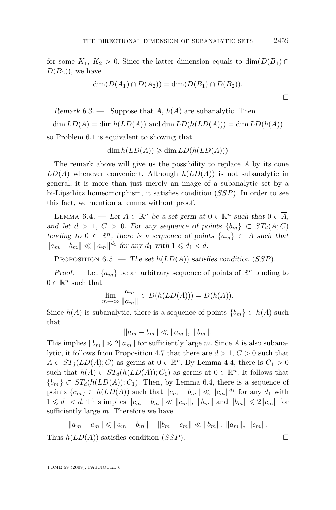for some  $K_1, K_2 > 0$ . Since the latter dimension equals to dim( $D(B_1) \cap$  $D(B_2)$ , we have

$$
\dim(D(A_1) \cap D(A_2)) = \dim(D(B_1) \cap D(B_2)).
$$

Remark 6.3. — Suppose that *A*, *h*(*A*) are subanalytic. Then  $\dim LD(A) = \dim h(LD(A))$  and  $\dim LD(h(LD(A))) = \dim LD(h(A))$ 

so Problem [6.1](#page-14-0) is equivalent to showing that

 $\dim h(LD(A)) \geqslant \dim LD(h(LD(A)))$ 

The remark above will give us the possibility to replace *A* by its cone  $LD(A)$  whenever convenient. Although  $h(LD(A))$  is not subanalytic in general, it is more than just merely an image of a subanalytic set by a bi-Lipschitz homeomorphism, it satisfies condition (*SSP*). In order to see this fact, we mention a lemma without proof.

LEMMA 6.4. — Let  $A \subset \mathbb{R}^n$  be a set-germ at  $0 \in \mathbb{R}^n$  such that  $0 \in \overline{A}$ , and let  $d > 1$ ,  $C > 0$ . For any sequence of points  $\{b_m\} \subset ST_d(A;C)$ tending to  $0 \in \mathbb{R}^n$ , there is a sequence of points  $\{a_m\} \subset A$  such that  $||a_m - b_m|| \ll ||a_m||^{d_1}$  for any  $d_1$  with  $1 \leq d_1 < d$ .

Proposition 6.5. — The set *h*(*LD*(*A*)) satisfies condition (*SSP*).

**Proof.** — Let  $\{a_m\}$  be an arbitrary sequence of points of  $\mathbb{R}^n$  tending to  $0 \in \mathbb{R}^n$  such that

$$
\lim_{m \to \infty} \frac{a_m}{\|a_m\|} \in D(h(LD(A))) = D(h(A)).
$$

Since  $h(A)$  is subanalytic, there is a sequence of points  ${b_m} \subset h(A)$  such that

 $||a_m - b_m|| \ll ||a_m||, ||b_m||.$ 

This implies  $||b_m|| \leq 2||a_m||$  for sufficiently large *m*. Since *A* is also subanalytic, it follows from Proposition [4.7](#page-9-0) that there are *d >* 1, *C >* 0 such that  $A \subset ST_d(LD(A); C)$  as germs at  $0 \in \mathbb{R}^n$ . By Lemma [4.4,](#page-8-0) there is  $C_1 > 0$ such that  $h(A) \subset ST_d(h(LD(A)); C_1)$  as germs at  $0 \in \mathbb{R}^n$ . It follows that  ${b_m}$  ⊂ *ST*<sup>*d*</sup>(*h*(*LD*(*A*)); *C*<sub>1</sub>). Then, by Lemma 6.4, there is a sequence of points  ${c_m} \subset h(LD(A))$  such that  $||c_m - b_m|| \ll ||c_m||^{d_1}$  for any  $d_1$  with  $1 \leq d_1 < d$ . This implies  $||c_m - b_m|| \ll ||c_m||$ ,  $||b_m||$  and  $||b_m|| \leq 2||c_m||$  for sufficiently large *m*. Therefore we have

$$
||a_m - c_m|| \le ||a_m - b_m|| + ||b_m - c_m|| \le ||b_m||, ||a_m||, ||c_m||.
$$

Thus  $h(LD(A))$  satisfies condition (*SSP*).

TOME 59 (2009), FASCICULE 6

 $\Box$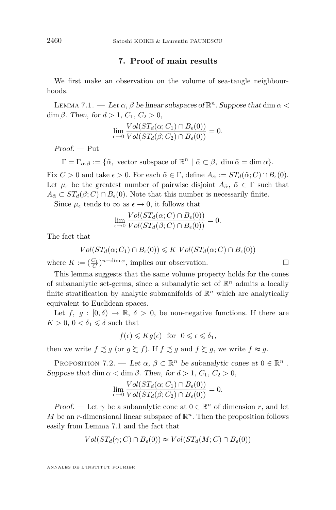#### **7. Proof of main results**

<span id="page-16-0"></span>We first make an observation on the volume of sea-tangle neighbourhoods.

LEMMA 7.1.  $-$  Let  $\alpha$ ,  $\beta$  be linear subspaces of  $\mathbb{R}^n$ . Suppose that dim  $\alpha$  < dim  $\beta$ . Then, for  $d > 1$ ,  $C_1$ ,  $C_2 > 0$ ,

$$
\lim_{\epsilon \to 0} \frac{Vol(ST_d(\alpha; C_1) \cap B_{\epsilon}(0))}{Vol(ST_d(\beta; C_2) \cap B_{\epsilon}(0))} = 0.
$$

Proof. — Put

 $\Gamma = \Gamma_{\alpha,\beta} := \{ \tilde{\alpha}, \text{ vector subspace of } \mathbb{R}^n \mid \tilde{\alpha} \subset \beta, \dim \tilde{\alpha} = \dim \alpha \}.$ 

Fix  $C > 0$  and take  $\epsilon > 0$ . For each  $\tilde{\alpha} \in \Gamma$ , define  $A_{\tilde{\alpha}} := ST_d(\tilde{\alpha}; C) \cap B_{\epsilon}(0)$ . Let  $\mu_{\epsilon}$  be the greatest number of pairwise disjoint  $A_{\tilde{\alpha}}$ ,  $\tilde{\alpha} \in \Gamma$  such that  $A_{\tilde{\alpha}} \subset ST_d(\beta; C) \cap B_{\epsilon}(0)$ . Note that this number is necessarily finite.

Since  $\mu_{\epsilon}$  tends to  $\infty$  as  $\epsilon \to 0$ , it follows that

$$
\lim_{\epsilon \to 0} \frac{Vol(ST_d(\alpha; C) \cap B_{\epsilon}(0))}{Vol(ST_d(\beta; C) \cap B_{\epsilon}(0))} = 0.
$$

The fact that

$$
Vol(ST_d(\alpha; C_1) \cap B_{\epsilon}(0)) \leqslant K Vol(ST_d(\alpha; C) \cap B_{\epsilon}(0))
$$

where  $K := (\frac{C_1}{C})^{n-\dim \alpha}$ , implies our observation.

This lemma suggests that the same volume property holds for the cones of subananlytic set-germs, since a subanalytic set of R *<sup>n</sup>* admits a locally finite stratification by analytic submanifolds of  $\mathbb{R}^n$  which are analytically equivalent to Euclidean spaces.

Let  $f, g : [0, \delta) \to \mathbb{R}, \delta > 0$ , be non-negative functions. If there are  $K > 0, 0 < \delta_1 \leqslant \delta$  such that

$$
f(\epsilon) \leqslant Kg(\epsilon)
$$
 for  $0 \leqslant \epsilon \leqslant \delta_1$ ,

then we write  $f \precsim g$  (or  $g \succeq f$ ). If  $f \precsim g$  and  $f \succeq g$ , we write  $f \approx g$ .

PROPOSITION 7.2. — Let  $\alpha, \beta \subset \mathbb{R}^n$  be subanalytic cones at  $0 \in \mathbb{R}^n$ . Suppose that dim  $\alpha < \dim \beta$ . Then, for  $d > 1$ ,  $C_1$ ,  $C_2 > 0$ ,

$$
\lim_{\epsilon \to 0} \frac{Vol(ST_d(\alpha; C_1) \cap B_{\epsilon}(0))}{Vol(ST_d(\beta; C_2) \cap B_{\epsilon}(0))} = 0.
$$

Proof. — Let  $\gamma$  be a subanalytic cone at  $0 \in \mathbb{R}^n$  of dimension *r*, and let *M* be an *r*-dimensional linear subspace of  $\mathbb{R}^n$ . Then the proposition follows easily from Lemma 7.1 and the fact that

$$
Vol(ST_d(\gamma; C) \cap B_{\epsilon}(0)) \approx Vol(ST_d(M; C) \cap B_{\epsilon}(0))
$$

ANNALES DE L'INSTITUT FOURIER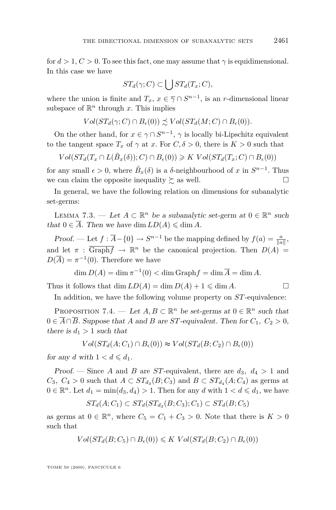<span id="page-17-0"></span>for  $d > 1, C > 0$ . To see this fact, one may assume that  $\gamma$  is equidimensional. In this case we have

$$
ST_d(\gamma;C) \subset \bigcup ST_d(T_x;C),
$$

where the union is finite and  $T_x$ ,  $x \in \overline{\gamma} \cap S^{n-1}$ , is an *r*-dimensional linear subspace of  $\mathbb{R}^n$  through *x*. This implies

$$
Vol(ST_d(\gamma; C) \cap B_{\epsilon}(0)) \precsim Vol(ST_d(M; C) \cap B_{\epsilon}(0)).
$$

On the other hand, for  $x \in \gamma \cap S^{n-1}$ ,  $\gamma$  is locally bi-Lipschitz equivalent to the tangent space  $T_x$  of  $\gamma$  at *x*. For  $C, \delta > 0$ , there is  $K > 0$  such that

 $Vol(ST_d(T_x \cap L(\tilde{B}_x(\delta)); C) \cap B_{\epsilon}(0)) \ge K Vol(ST_d(T_x; C) \cap B_{\epsilon}(0))$ 

for any small  $\epsilon > 0$ , where  $\tilde{B}_x(\delta)$  is a  $\delta$ -neighbourhood of *x* in  $S^{n-1}$ . Thus we can claim the opposite inequality  $\succsim$  as well.

In general, we have the following relation on dimensions for subanalytic set-germs:

LEMMA 7.3. — Let  $A \subset \mathbb{R}^n$  be a subanalytic set-germ at  $0 \in \mathbb{R}^n$  such that  $0 \in \overline{A}$ . Then we have dim  $LD(A) \leq \dim A$ .

Proof. — Let  $f : \overline{A} - \{0\} \to S^{n-1}$  be the mapping defined by  $f(a) = \frac{a}{\|a\|}$ , and let  $\pi$ :  $\overline{\text{Graph}f} \rightarrow \mathbb{R}^n$  be the canonical projection. Then  $D(A) =$  $D(\overline{A}) = \pi^{-1}(0)$ . Therefore we have

$$
\dim D(A) = \dim \pi^{-1}(0) < \dim \text{Graph} f = \dim \overline{A} = \dim A.
$$

Thus it follows that dim  $LD(A) = \dim D(A) + 1 \leq \dim A$ .

In addition, we have the following volume property on *ST*-equivalence:

PROPOSITION 7.4. — Let  $A, B \subset \mathbb{R}^n$  be set-germs at  $0 \in \mathbb{R}^n$  such that 0  $∈$   $\overline{A} ∩ \overline{B}$ . Suppose that *A* and *B* are *ST*-equivalent. Then for  $C_1$ ,  $C_2 > 0$ , there is  $d_1 > 1$  such that

$$
Vol(ST_d(A; C_1) \cap B_{\epsilon}(0)) \approx Vol(ST_d(B; C_2) \cap B_{\epsilon}(0))
$$

for any *d* with  $1 < d \leq d_1$ .

Proof. — Since *A* and *B* are *ST*-equivalent, there are  $d_3$ ,  $d_4 > 1$  and  $C_3$ ,  $C_4 > 0$  such that  $A \subset ST_{d_3}(B; C_3)$  and  $B \subset ST_{d_4}(A; C_4)$  as germs at  $0 \in \mathbb{R}^n$ . Let  $d_1 = \min(d_3, d_4) > 1$ . Then for any  $d$  with  $1 < d \leq d_1$ , we have

$$
ST_d(A;C_1) \subset ST_d(ST_{d_3}(B;C_3);C_1) \subset ST_d(B;C_5)
$$

as germs at  $0 \in \mathbb{R}^n$ , where  $C_5 = C_1 + C_3 > 0$ . Note that there is  $K > 0$ such that

$$
Vol(ST_d(B; C_5) \cap B_{\epsilon}(0)) \leqslant K Vol(ST_d(B; C_2) \cap B_{\epsilon}(0))
$$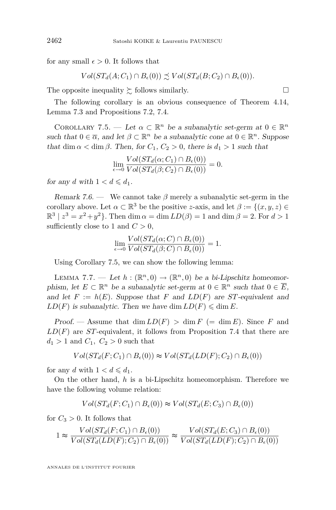for any small  $\epsilon > 0$ . It follows that

$$
Vol(ST_d(A; C_1) \cap B_{\epsilon}(0)) \precsim Vol(ST_d(B; C_2) \cap B_{\epsilon}(0)).
$$

The opposite inequality  $\succeq$  follows similarly.

The following corollary is an obvious consequence of Theorem [4.14,](#page-11-0) Lemma [7.3](#page-17-0) and Propositions [7.2,](#page-16-0) [7.4.](#page-17-0)

COROLLARY 7.5. — Let  $\alpha \subset \mathbb{R}^n$  be a subanalytic set-germ at  $0 \in \mathbb{R}^n$ such that  $0 \in \overline{\alpha}$ , and let  $\beta \subset \mathbb{R}^n$  be a subanalytic cone at  $0 \in \mathbb{R}^n$ . Suppose that dim  $\alpha$  < dim  $\beta$ . Then, for  $C_1$ ,  $C_2 > 0$ , there is  $d_1 > 1$  such that

$$
\lim_{\epsilon \to 0} \frac{Vol(ST_d(\alpha; C_1) \cap B_{\epsilon}(0))}{Vol(ST_d(\beta; C_2) \cap B_{\epsilon}(0))} = 0.
$$

for any *d* with  $1 < d \le d_1$ .

Remark 7.6. — We cannot take  $\beta$  merely a subanalytic set-germ in the corollary above. Let  $\alpha \subset \mathbb{R}^3$  be the positive *z*-axis, and let  $\beta := \{(x, y, z) \in$  $\mathbb{R}^3 \mid z^3 = x^2 + y^2$ . Then dim  $\alpha = \dim LD(\beta) = 1$  and  $\dim \beta = 2$ . For  $d > 1$ sufficiently close to 1 and  $C > 0$ ,

$$
\lim_{\epsilon \to 0} \frac{Vol(ST_d(\alpha; C) \cap B_{\epsilon}(0))}{Vol(ST_d(\beta; C) \cap B_{\epsilon}(0))} = 1.
$$

Using Corollary 7.5, we can show the following lemma:

LEMMA 7.7. — Let  $h : (\mathbb{R}^n, 0) \to (\mathbb{R}^n, 0)$  be a bi-Lipschitz homeomorphism, let  $E \subset \mathbb{R}^n$  be a subanalytic set-germ at  $0 \in \mathbb{R}^n$  such that  $0 \in \overline{E}$ , and let  $F := h(E)$ . Suppose that F and  $LD(F)$  are *ST*-equivalent and  $LD(F)$  is subanalytic. Then we have dim  $LD(F) \leq \dim E$ .

Proof. — Assume that  $\dim LD(F) > \dim F (= \dim E)$ . Since *F* and *LD*(*F*) are *ST*-equivalent, it follows from Proposition [7.4](#page-17-0) that there are  $d_1 > 1$  and  $C_1, C_2 > 0$  such that

$$
Vol(ST_d(F; C_1) \cap B_{\epsilon}(0)) \approx Vol(ST_d(LD(F); C_2) \cap B_{\epsilon}(0))
$$

for any *d* with  $1 < d \le d_1$ .

On the other hand, *h* is a bi-Lipschitz homeomorphism. Therefore we have the following volume relation:

$$
Vol(ST_d(F; C_1) \cap B_{\epsilon}(0)) \approx Vol(ST_d(E; C_3) \cap B_{\epsilon}(0))
$$

for  $C_3 > 0$ . It follows that

$$
1 \approx \frac{Vol(ST_d(F; C_1) \cap B_{\epsilon}(0))}{Vol(ST_d(LD(F); C_2) \cap B_{\epsilon}(0))} \approx \frac{Vol(ST_d(E; C_3) \cap B_{\epsilon}(0))}{Vol(ST_d(LD(F); C_2) \cap B_{\epsilon}(0))}
$$

ANNALES DE L'INSTITUT FOURIER

<span id="page-18-0"></span>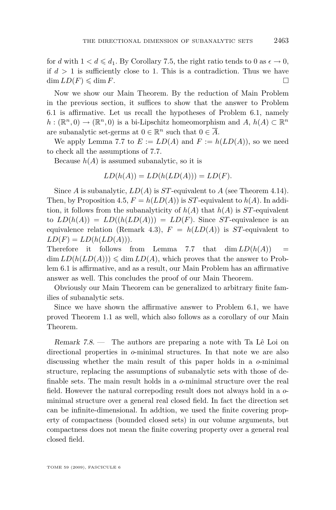for *d* with  $1 < d \le d_1$ . By Corollary [7.5,](#page-18-0) the right ratio tends to 0 as  $\epsilon \to 0$ , if  $d > 1$  is sufficiently close to 1. This is a contradiction. Thus we have  $\dim LD(F) \leqslant \dim F.$ 

Now we show our Main Theorem. By the reduction of Main Problem in the previous section, it suffices to show that the answer to Problem [6.1](#page-14-0) is affirmative. Let us recall the hypotheses of Problem [6.1,](#page-14-0) namely  $h: (\mathbb{R}^n, 0) \to (\mathbb{R}^n, 0)$  is a bi-Lipschitz homeomorphism and  $A, h(A) \subset \mathbb{R}^n$ are subanalytic set-germs at  $0 \in \mathbb{R}^n$  such that  $0 \in \overline{A}$ .

We apply Lemma [7.7](#page-18-0) to  $E := LD(A)$  and  $F := h(LD(A))$ , so we need to check all the assumptions of [7.7.](#page-18-0)

Because  $h(A)$  is assumed subanalytic, so it is

$$
LD(h(A)) = LD(h(LD(A))) = LD(F).
$$

Since *A* is subanalytic,  $LD(A)$  is *ST*-equivalent to *A* (see Theorem [4.14\)](#page-11-0). Then, by Proposition [4.5,](#page-8-0)  $F = h(LD(A))$  is *ST*-equivalent to  $h(A)$ . In addition, it follows from the subanalyticity of  $h(A)$  that  $h(A)$  is *ST*-equivalent to  $LD(h(A)) = LD((h(LD(A))) = LD(F)$ . Since *ST*-equivalence is an equivalence relation (Remark [4.3\)](#page-8-0),  $F = h(LD(A))$  is *ST*-equivalent to  $LD(F) = LD(h(LD(A))).$ 

Therefore it follows from Lemma [7.7](#page-18-0) that  $\dim LD(h(A))$  =  $\dim LD(h(LD(A))) \leq \dim LD(A)$ , which proves that the answer to Problem [6.1](#page-14-0) is affirmative, and as a result, our Main Problem has an affirmative answer as well. This concludes the proof of our Main Theorem.

Obviously our Main Theorem can be generalized to arbitrary finite families of subanalytic sets.

Since we have shown the affirmative answer to Problem [6.1,](#page-14-0) we have proved Theorem [1.1](#page-3-0) as well, which also follows as a corollary of our Main Theorem.

Remark 7.8. — The authors are preparing a note with Ta Lê Loi on directional properties in *o*-minimal structures. In that note we are also discussing whether the main result of this paper holds in a *o*-minimal structure, replacing the assumptions of subanalytic sets with those of definable sets. The main result holds in a *o*-minimal structure over the real field. However the natural correpoding result does not always hold in a *o*minimal structure over a general real closed field. In fact the direction set can be infinite-dimensional. In addtion, we used the finite covering property of compactness (bounded closed sets) in our volume arguments, but compactness does not mean the finite covering property over a general real closed field.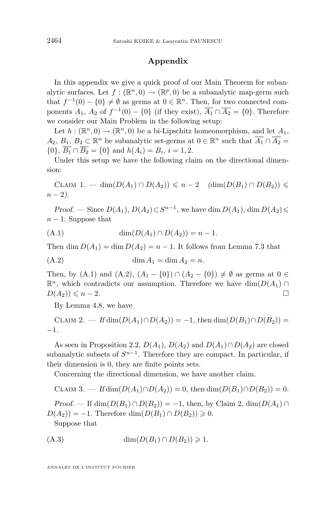#### **Appendix**

In this appendix we give a quick proof of our Main Theorem for subanalytic surfaces. Let  $f : (\mathbb{R}^n, 0) \to (\mathbb{R}^p, 0)$  be a subanalytic map-germ such that  $f^{-1}(0) - \{0\} \neq \emptyset$  as germs at  $0 \in \mathbb{R}^n$ . Then, for two connected components *A*<sub>1</sub>, *A*<sub>2</sub> of  $f^{-1}(0) - \{0\}$  (if they exist),  $\overline{A_1} \cap \overline{A_2} = \{0\}$ . Therefore we consider our Main Problem in the following setup:

Let  $h: (\mathbb{R}^n, 0) \to (\mathbb{R}^n, 0)$  be a bi-Lipschitz homeomorphism, and let  $A_1$ , *A*<sub>2</sub>, *B*<sub>1</sub>, *B*<sub>2</sub> ⊂  $\mathbb{R}^n$  be subanalytic set-germs at  $0 \in \mathbb{R}^n$  such that  $\overline{A_1} \cap \overline{A_2}$  = *{*0*}*, *B*<sub>1</sub> ∩ *B*<sub>2</sub> = {0*}* and  $h(A_i) = B_i$ ,  $i = 1, 2$ .

Under this setup we have the following claim on the directional dimension:

 $CLAIM 1.$  — dim $(D(A_1) ∩ D(A_2)) \leq n-2$  (dim $(D(B_1) ∩ D(B_2))$ ) *n* − 2).

*Proof.* — Since  $D(A_1)$ ,  $D(A_2)$  ⊂  $S^{n-1}$ , we have dim  $D(A_1)$ , dim  $D(A_2)$  ≤  $n-1$ . Suppose that

(A.1) 
$$
\dim(D(A_1) \cap D(A_2)) = n - 1.
$$

Then dim  $D(A_1) = \dim D(A_2) = n - 1$ . It follows from Lemma [7.3](#page-17-0) that

(A.2) dim *A*<sup>1</sup> = dim *A*<sup>2</sup> = *n.*

Then, by (A.1) and (A.2),  $(A_1 - \{0\}) \cap (A_2 - \{0\}) \neq \emptyset$  as germs at 0 ∈  $\mathbb{R}^n$ , which contradicts our assumption. Therefore we have  $\dim(D(A_1) \cap$  $D(A_2)$ )  $\leq n-2$ .

By Lemma [4.8,](#page-9-0) we have

 $CLAIN 2. - If dim(D(A_1) \cap D(A_2)) = -1$ , then  $dim(D(B_1) \cap D(B_2)) =$ *−*1.

As seen in Proposition [2.2,](#page-4-0)  $D(A_1)$ ,  $D(A_2)$  and  $D(A_1) \cap D(A_2)$  are closed subanalytic subsets of  $S^{n-1}$ . Therefore they are compact. In particular, if their dimension is 0, they are finite points sets.

Concerning the directional dimension, we have another claim.

CLAIM 3. — 
$$
H \dim(D(A_1) \cap D(A_2)) = 0
$$
, then  $\dim(D(B_1) \cap D(B_2)) = 0$ .

*Proof.* — If  $\dim(D(B_1) \cap D(B_2)) = -1$ , then, by Claim 2,  $\dim(D(A_1) \cap D(B_2))$  $D(A_2)$  = *−*1. Therefore dim( $D(B_1) \cap D(B_2)$ ) ≥ 0. Suppose that

$$
(A.3) \qquad \dim(D(B_1) \cap D(B_2)) \geq 1.
$$

ANNALES DE L'INSTITUT FOURIER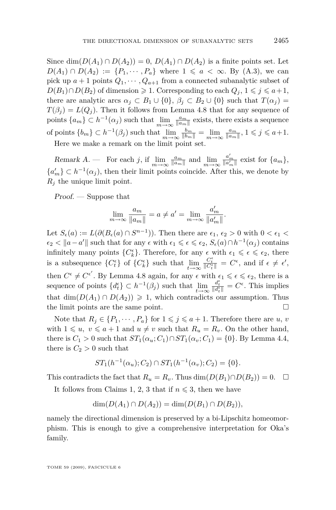Since  $\dim(D(A_1) \cap D(A_2)) = 0$ ,  $D(A_1) \cap D(A_2)$  is a finite points set. Let *D*(*A*<sub>1</sub>) ∩ *D*(*A*<sub>2</sub>) := {*P*<sub>1</sub>, · · · *, P<sub>a</sub>*} where 1 ≤ *a* < ∞ *.* By (*A*.3), we can pick up  $a + 1$  points  $Q_1, \dots, Q_{a+1}$  from a connected subanalytic subset of *D*(*B*<sub>1</sub>)∩*D*(*B*<sub>2</sub>) of dimension  $\geq 1$ . Corresponding to each  $Q_j$ ,  $1 \leq j \leq a+1$ , there are analytic arcs  $\alpha_j \subset B_1 \cup \{0\}, \beta_j \subset B_2 \cup \{0\}$  such that  $T(\alpha_j) =$  $T(\beta_i) = L(Q_i)$ . Then it follows from Lemma [4.8](#page-9-0) that for any sequence of points  $\{a_m\} \subset h^{-1}(\alpha_j)$  such that  $\lim_{m \to \infty} \frac{a_m}{\|a_m\|}$  exists, there exists a sequence of points  $\{b_m\} \subset h^{-1}(\beta_j)$  such that  $\lim_{m \to \infty} \frac{b_m}{\|b_m\|} = \lim_{m \to \infty} \frac{a_m}{\|a_m\|}, 1 \leq j \leq a+1.$ Here we make a remark on the limit point set.

Remark A. — For each j, if  $\lim_{m \to \infty} \frac{a_m}{\|a_m\|}$  and  $\lim_{m \to \infty} \frac{a'_m}{\|a'_m\|}$  exist for  $\{a_m\}$ ,

 ${a'_m} \subset h^{-1}(\alpha_j)$ , then their limit points coincide. After this, we denote by  $R_i$  the unique limit point.

Proof. — Suppose that

$$
\lim_{m \to \infty} \frac{a_m}{\|a_m\|} = a \neq a' = \lim_{m \to \infty} \frac{a'_m}{\|a'_m\|}.
$$

Let  $S_{\epsilon}(a) := L(\partial (B_{\epsilon}(a) \cap S^{n-1}))$ . Then there are  $\epsilon_1, \epsilon_2 > 0$  with  $0 < \epsilon_1 <$  $\epsilon_2 < ||a - a'||$  such that for any  $\epsilon$  with  $\epsilon_1 \leqslant \epsilon \leqslant \epsilon_2$ ,  $S_{\epsilon}(a) \cap h^{-1}(\alpha_j)$  contains infinitely many points  ${C_k^{\epsilon}}$ . Therefore, for any  $\epsilon$  with  $\epsilon_1 \leq \epsilon \leq \epsilon_2$ , there is a subsequence  ${C_t^{\epsilon}}$  of  ${C_k^{\epsilon}}$  such that  $\lim_{t\to\infty} \frac{C_t^{\epsilon}}{\|C_t^{\epsilon}\|} = C^{\epsilon}$ , and if  $\epsilon \neq \epsilon'$ , then  $C^{\epsilon} \neq C^{\epsilon'}$ . By Lemma [4.8](#page-9-0) again, for any  $\epsilon$  with  $\epsilon_1 \leq \epsilon \leq \epsilon_2$ , there is a sequence of points  ${d_t^{\epsilon}} \subset h^{-1}(\beta_j)$  such that  $\lim_{t \to \infty} \frac{d_t^{\epsilon}}{||d_t^{\epsilon}||} = C^{\epsilon}$ . This implies that  $\dim(D(A_1) \cap D(A_2)) \geq 1$ , which contradicts our assumption. Thus the limit points are the same point.

Note that  $R_j \in \{P_1, \dots, P_a\}$  for  $1 \leq j \leq a+1$ . Therefore there are *u*, *v* with  $1 \leq u, v \leq a+1$  and  $u \neq v$  such that  $R_u = R_v$ . On the other hand, there is  $C_1 > 0$  such that  $ST_1(\alpha_u; C_1) \cap ST_1(\alpha_v; C_1) = \{0\}$ . By Lemma [4.4,](#page-8-0) there is  $C_2 > 0$  such that

$$
ST_1(h^{-1}(\alpha_u); C_2) \cap ST_1(h^{-1}(\alpha_v); C_2) = \{0\}.
$$

This contradicts the fact that  $R_u = R_v$ . Thus  $\dim(D(B_1) \cap D(B_2)) = 0$ .  $\Box$ 

It follows from Claims 1, 2, 3 that if  $n \leq 3$ , then we have

$$
\dim(D(A_1) \cap D(A_2)) = \dim(D(B_1) \cap D(B_2)),
$$

namely the directional dimension is preserved by a bi-Lipschitz homeomorphism. This is enough to give a comprehensive interpretation for Oka's family.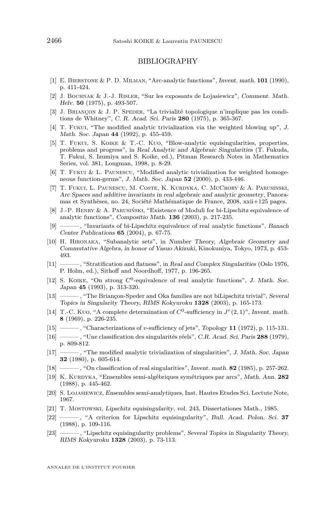#### BIBLIOGRAPHY

- <span id="page-22-0"></span>[1] E. Bierstone & P. D. Milman, "Arc-analytic functions", Invent. math. **101** (1990), p. 411-424.
- [2] J. Bochnak & J.-J. Risler, "Sur les exposants de Lojasiewicz", Comment. Math. Helv. **50** (1975), p. 493-507.
- [3] J. Briançon & J. P. Speder, "La trivialité topologique n'implique pas les conditions de Whitney", C. R. Acad. Sci. Paris **280** (1975), p. 365-367.
- [4] T. Fukui, "The modified analytic trivialization via the weighted blowing up", J. Math. Soc. Japan **44** (1992), p. 455-459.
- [5] T. Fukui, S. Koike & T.-C. Kuo, "Blow-analytic equisingularities, properties, problems and progress", in Real Analytic and Algebraic Singularities (T. Fukuda, T. Fukui, S. Izumiya and S. Koike, ed.), Pitman Research Notes in Mathematics Series, vol. 381, Longman, 1998, p. 8-29.
- [6] T. Fukui & L. Paunescu, "Modified analytic trivialization for weighted homogeneous function-germs", J. Math. Soc. Japan **52** (2000), p. 433-446.
- [7] T. Fukui, L. Paunescu, M. Coste, K. Kurdyka, C. McCrory & A. Parusinski, Arc Spaces and additive invariants in real algebraic and analytic geometry, Panoramas et Synthèses, no. 24, Société Mathématique de France, 2008, xxii+125 pages.
- [8] J.-P. Henry & A. Parusiński, "Existence of Moduli for bi-Lipschitz equivalence of analytic functions", Compositio Math. **136** (2003), p. 217-235.
- [9] ——— , "Invariants of bi-Lipschitz equivalence of real analytic functions", Banach Center Publications **65** (2004), p. 67-75.
- [10] H. Hironaka, "Subanalytic sets", in Number Theory, Algebraic Geometry and Commutative Algebra, in honor of Yasuo Akizuki, Kinokuniya, Tokyo, 1973, p. 453- 493.
- [11] ——— , "Stratification and flatness", in Real and Complex Singularities (Oslo 1976, P. Holm, ed.), Sithoff and Noordhoff, 1977, p. 196-265.
- [12] S. KOIKE, "On strong  $C^0$ -equivalence of real analytic functions", J. Math. Soc. Japan **45** (1993), p. 313-320.
- [13] ——— , "The Briançon-Speder and Oka families are not biLipschitz trivial", Several Topics in Singularity Theory, RIMS Kokyuroku **1328** (2003), p. 165-173.
- [14] T.-C. Kuo, "A complete determination of  $C^0$ -sufficiency in  $J^r(2,1)$ ", Invent. math. **8** (1969), p. 226-235.
- [15] ——— , "Characterizations of *v*-sufficiency of jets", Topology **11** (1972), p. 115-131.
- [16] ——— , "Une classification des singularités réels", C.R. Acad. Sci. Paris **288** (1979), p. 809-812.
- [17] ——— , "The modified analytic trivialization of singularities", J. Math. Soc. Japan **32** (1980), p. 605-614.
- [18] ——— , "On classification of real singularities", Invent. math. **82** (1985), p. 257-262.
- [19] K. Kurdyka, "Ensembles semi-algébriques symétriques par arcs", Math. Ann. **282** (1988), p. 445-462.
- [20] S. Lojasiewicz, Ensembles semi-analytiques, Inst. Hautes Etudes Sci. Lectute Note, 1967.
- [21] T. Mostowski, Lipschitz equisingularity, vol. 243, Dissertationes Math., 1985.
- [22] ——— , "A criterion for Lipschitz equisingularity", Bull. Acad. Polon. Sci. **37** (1988), p. 109-116.
- [23] ——— , "Lipschitz equisingularity problems", Several Topics in Singularity Theory, RIMS Kokyuroku **1328** (2003), p. 73-113.